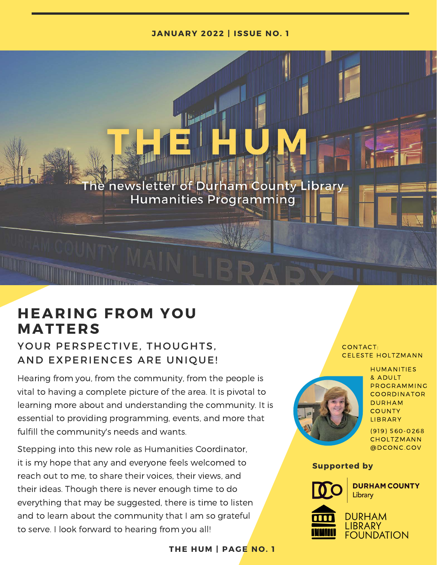#### **JANUARY 2022 | ISSUE NO. 1**

The newsletter of Durham County Library **Humanities Programming** 

# **HEARING FROM YOU M A T T E R S**

### YOUR PERSPECTIVE, THOUGHTS, AND EXPERIENCES ARE UNIQUE!

Hearing from you, from the community, from the people is vital to having a complete picture of the area. It is pivotal to learning more about and understanding the community. It is essential to providing programming, events, and more that fulfill the community's needs and wants.

Stepping into this new role as Humanities Coordinator, it is my hope that any and everyone feels welcomed to reach out to me, to share their voices, their views, and their ideas. Though there is never enough time to do everything that may be suggested, there is time to listen and to learn about the community that I am so grateful to serve. I look forward to hearing from you all!

#### **THE HUM | PAGE NO. 1**

## **CELESTE HOLTZMANN<br>HUMANITIES** CONTACT:



HUMANITIES<br>& ADULT HUMANITIES<br>& ADULT<br>PROGRAMMING & ADULT<br>PROGRAMMING<br>COORDINATOR COORDINATOR DURHAM<br>COUNTY **LIBRARY** – – – – –<br>LIBRARY<br>(919) 560-0268

----------<br>(919) 560-0268<br>CHOLTZMANN CHOLTZMANN<br>@DCONC.GOV

#### **Supported by**